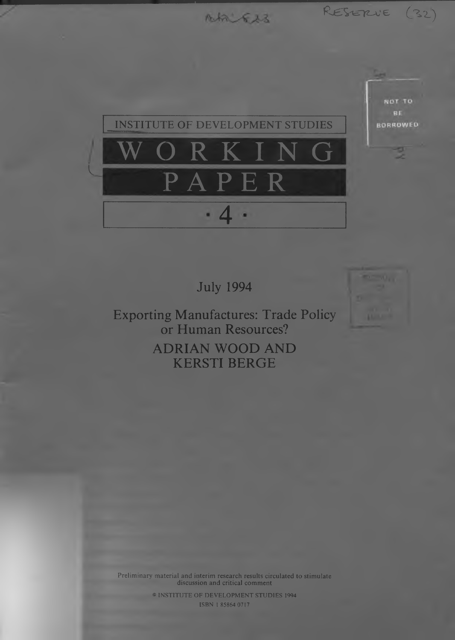Ah Es

RESERVE (32)



July 1994

Exporting Manufactures: Trade Policy or Human Resources? ADRIAN WOOD AND KERSTI BERGE

Preliminary material and interim research results circulated to stimulate discussion and critical comment

> © INSTITUTE OF DEVELOPMENT STUDIES 1994 ISBN 1 85864 0717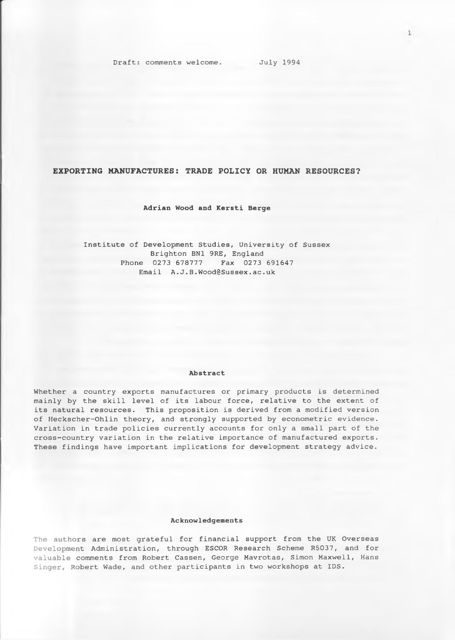**EXPORTING MANUFACTURES: TRADE POLICY OR HUMAN RESOURCES?**

# **Adrian Wood and Kersti Berge**

Institute of Development Studies, University of Sussex Brighton BN1 9RE, England Phone 0273 678777 Fax 0273 691647 Email [A.J.B.Wood@Sussex.ac.uk](mailto:A.J.B.Wood@Sussex.ac.uk)

#### **Abstract**

Whether a country exports manufactures or primary products is determined mainly by the skill level of its labour force, relative to the extent of its natural resources. This proposition is derived from a modified version of Heckscher-Ohlin theory, and strongly supported by econometric evidence. Variation in trade policies currently accounts for only a small part of the cross-country variation in the relative importance of manufactured exports. These findings have important implications for development strategy advice.

## **Acknowledgements**

The authors are most grateful for financial support from the UK Overseas Development Administration, through ESCOR Research Scheme R5037, and for valuable comments from Robert Cassen, George Mavrotas, Simon Maxwell, Hans Singer, Robert Wade, and other participants in two workshops at IDS.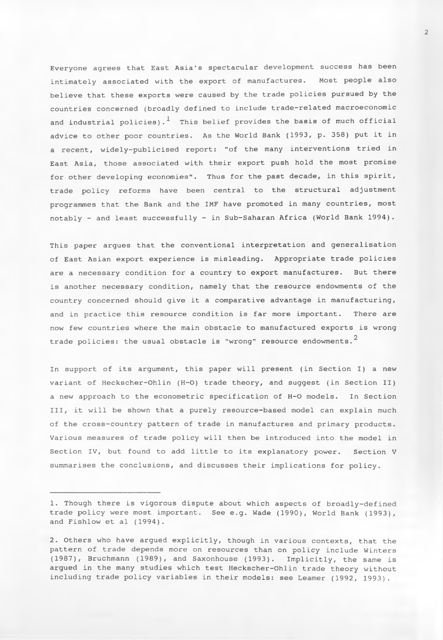Everyone agrees that East Asia's spectacular development success has been intimately associated with the export of manufactures. Most people also believe that these exports were caused by the trade policies pursued by the countries concerned (broadly defined to include trade-related macroeconomic and industrial policies).<sup>1</sup> This belief provides the basis of much official advice to other poor countries. As the World Bank (1993, p. 358) put it in a recent, widely-publicised report: "of the many interventions tried in East Asia, those associated with their export push hold the most promise for other developing economies". Thus for the past decade, in this spirit, trade policy reforms have been central to the structural adjustment programmes that the Bank and the IMF have promoted in many countries, most notably - and least successfully - in Sub-Saharan Africa (World Bank 1994).

This paper argues that the conventional interpretation and generalisation of East Asian export experience is misleading. Appropriate trade policies are a necessary condition for a country to export manufactures. But there is another necessary condition, namely that the resource endowments of the country concerned should give it a comparative advantage in manufacturing, and in practice this resource condition is far more important. There are now few countries where the main obstacle to manufactured exports is wrong trade policies: the usual obstacle is "wrong" resource endowments. $^{\text{2}}$ 

In support of its argument, this paper will present (in Section I) a new variant of Heckscher-Ohlin (H-O) trade theory, and suggest (in Section II) a new approach to the econometric specification of H-O models. In Section III, it will be shown that a purely resource-based model can explain much of the cross-country pattern of trade in manufactures and primary products. Various measures of trade policy will then be introduced into the model in Section IV, but found to add little to its explanatory power. Section V summarises the conclusions, and discusses their implications for policy.

**2**

<sup>1.</sup> Though there is vigorous dispute about which aspects of broadly-defined trade policy were most important. See e.g. Wade (1990), World Bank (1993), and Fishlow et al (1994).

<sup>2.</sup> Others who have argued explicitly, though in various contexts, that the pattern of trade depends more on resources than on policy include Winters (1987), Bruchmann (1989), and Saxonhouse (1993). Implicitly, the same is argued in the many studies which test Heckscher-Ohlin trade theory without including trade policy variables in their models: see Leamer (1992, 1993).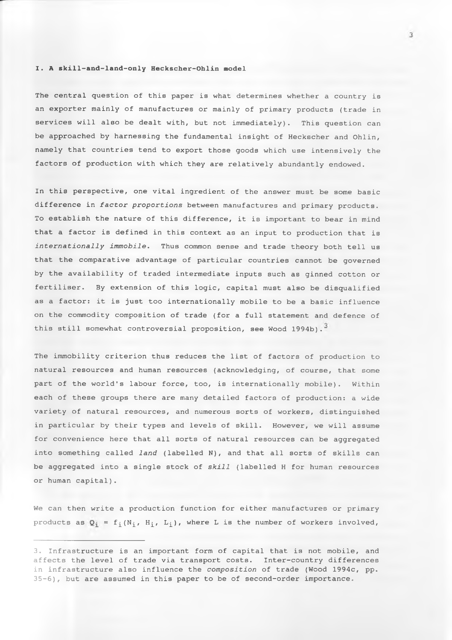## **I . A skill-and-land-only Heckscher-Ohlin model**

The central question of this paper is what determines whether a country is an exporter mainly of manufactures or mainly of primary products (trade in services will also be dealt with, but not immediately). This question can be approached by harnessing the fundamental insight of Heckscher and Ohlin, namely that countries tend to export those goods which use intensively the factors of production with which they are relatively abundantly endowed.

In this perspective, one vital ingredient of the answer must be some basic difference in *factor proportions* between manufactures and primary products. To establish the nature of this difference, it is important to bear in mind that a factor is defined in this context as an input to production that is *internationally immobile.* Thus common sense and trade theory both tell us that the comparative advantage of particular countries cannot be governed by the availability of traded intermediate inputs such as ginned cotton or fertiliser. By extension of this logic, capital must also be disqualified as a factor: it is just too internationally mobile to be a basic influence on the commodity composition of trade (for a full statement and defence of this still somewhat controversial proposition, see Wood 1994b).<sup>3</sup>

The immobility criterion thus reduces the list of factors of production to natural resources and human resources (acknowledging, of course, that some part of the world's labour force, too, is internationally mobile). Within each of these groups there are many detailed factors of production: a wide variety of natural resources, and numerous sorts of workers, distinguished in particular by their types and levels of skill. However, we will assume for convenience here that all sorts of natural resources can be aggregated into something called *land* (labelled N), and that all sorts of skills can be aggregated into a single stock of *skill* (labelled H for human resources or human capital).

We can then write a production function for either manufactures or primary products as  $Q_i = f_i(N_i, H_i, L_i)$ , where L is the number of workers involved,

<sup>3.</sup> Infrastructure is an important form of capital that is not mobile, and affects the level of trade via transport costs. Inter-country differences in infrastructure also influence the *composition* of trade (Wood 1994c, pp. 35-6), but are assumed in this paper to be of second-order importance.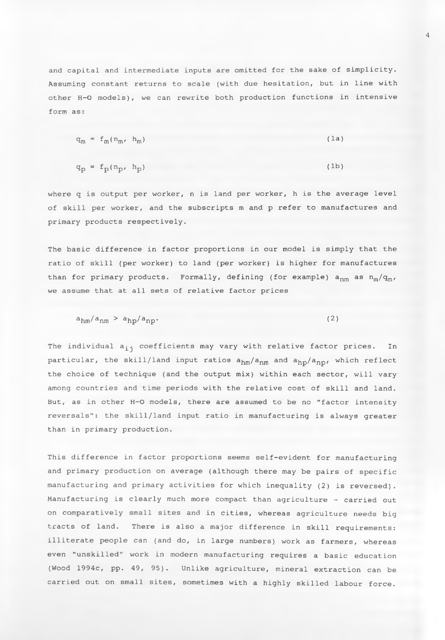and capital and intermediate inputs are omitted for the sake of simplicity. Assuming constant returns to scale (with due hesitation, but in line with other H-O models), we can rewrite both production functions in intensive form as:

$$
q_m = f_m(n_m, h_m) \tag{1a}
$$

$$
q_p = f_p(n_p, h_p) \tag{1b}
$$

where q is output per worker, n is land per worker, h is the average level of skill per worker, and the subscripts m and p refer to manufactures and primary products respectively.

The basic difference in factor proportions in our model is simply that the ratio of skill (per worker) to land (per worker) is higher for manufactures than for primary products. Formally, defining (for example)  $a_{nm}$  as  $n_m/q_m$ , we assume that at all sets of relative factor prices

$$
a_{\rm hm}/a_{\rm hm} > a_{\rm hp}/a_{\rm np}. \tag{2}
$$

The individual a<sub>jj</sub> coefficients may vary with relative factor prices. In particular, the skill/land input ratios  $a_{hm}/a_{nm}$  and  $a_{hop}/a_{np}$ , which reflect the choice of technique (and the output mix) within each sector, will vary among countries and time periods with the relative cost of skill and land. But, as in other H-O models, there are assumed to be no "factor intensity reversals": the skill/land input ratio in manufacturing is always greater than in primary production.

This difference in factor proportions seems self-evident for manufacturing and primary production on average (although there may be pairs of specific manufacturing and primary activities for which inequality (2) is reversed). Manufacturing is clearly much more compact than agriculture - carried out on comparatively small sites and in cities, whereas agriculture needs big tracts of land. There is also a major difference in skill requirements: illiterate people can (and do, in large numbers) work as farmers, whereas even "unskilled" work in modern manufacturing requires a basic education (Wood 1994c, pp. 49, 95). Unlike agriculture, mineral extraction can be carried out on small sites, sometimes with a highly skilled labour force.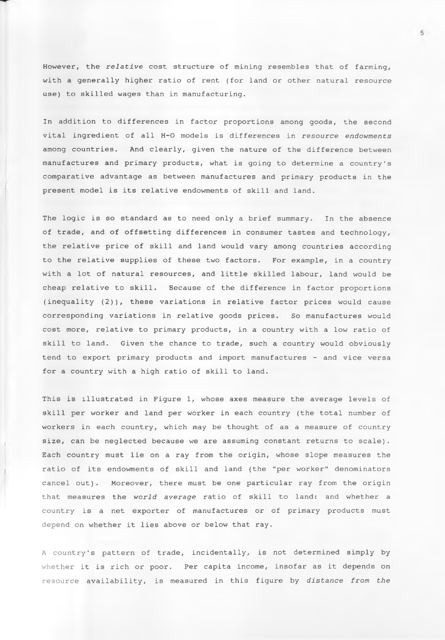However, the *relative* cost structure of mining resembles that of farming, with a generally higher ratio of rent (for land or other natural resource use) to skilled wages than in manufacturing.

In addition to differences in factor proportions among goods, the second vital ingredient of all H-O models is differences in *resource endowments* among countries. And clearly, given the nature of the difference between manufactures and primary products, what is going to determine a country's comparative advantage as between manufactures and primary products in the present model is its relative endowments of skill and land.

The logic is so standard as to need only a brief summary. In the absence of trade, and of offsetting differences in consumer tastes and technology, the relative price of skill and land would vary among countries according to the relative supplies of these two factors. For example, in a country with a lot of natural resources, and little skilled labour, land would be cheap relative to skill. Because of the difference in factor proportions (inequality (2)), these variations in relative factor prices would cause corresponding variations in relative goods prices. So manufactures would cost more, relative to primary products, in a country with a low ratio of skill to land. Given the chance to trade, such a country would obviously tend to export primary products and import manufactures - and vice versa for a country with a high ratio of skill to land.

This is illustrated in Figure 1, whose axes measure the average levels of skill per worker and land per worker in each country (the total number of workers in each country, which may be thought of as a measure of country size, can be neglected because we are assuming constant returns to scale). Each country must lie on a ray from the origin, whose slope measures the ratio of its endowments of skill and land (the "per worker" denominators cancel out). Moreover, there must be one particular ray from the origin that measures the *world average* ratio of skill to land: and whether a country is a net exporter of manufactures or of primary products must depend on whether it lies above or below that ray.

A country's pattern of trade, incidentally, is not determined simply by whether it is rich or poor. Per capita income, insofar as it depends on resource availability, is measured in this figure by *distance from the*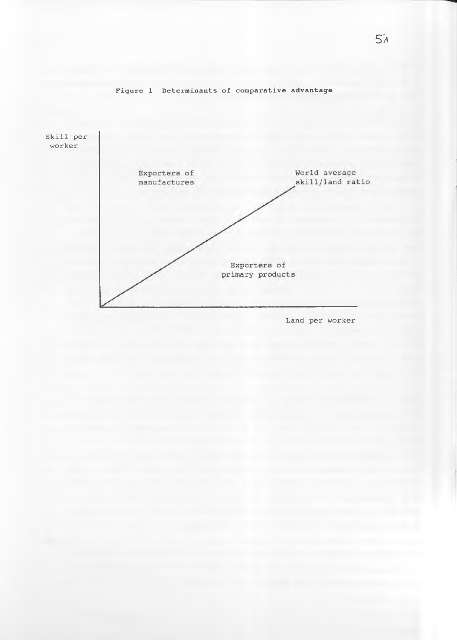

# Figure 1 Determinants of comparative advantage

Land per worker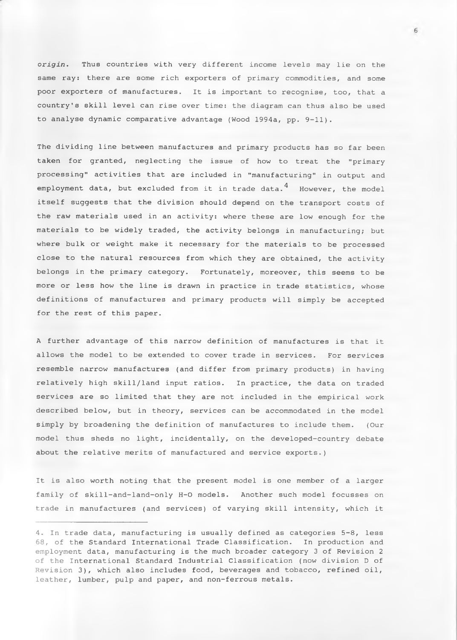*origin.* Thus countries with very different income levels may lie on the same ray: there are some rich exporters of primary commodities, and some poor exporters of manufactures. It is important to recognise, too, that a country's skill level can rise over time: the diagram can thus also be used to analyse dynamic comparative advantage (Wood 1994a, pp. 9-11).

The dividing line between manufactures and primary products has so far been taken for granted, neglecting the issue of how to treat the "primary processing" activities that are included in "manufacturing" in output and employment data, but excluded from it in trade data.  $4$  However, the model itself suggests that the division should depend on the transport costs of the raw materials used in an activity: where these are low enough for the materials to be widely traded, the activity belongs in manufacturing; but where bulk or weight make it necessary for the materials to be processed close to the natural resources from which they are obtained, the activity belongs in the primary category. Fortunately, moreover, this seems to be more or less how the line is drawn in practice in trade statistics, whose definitions of manufactures and primary products will simply be accepted for the rest of this paper.

A further advantage of this narrow definition of manufactures is that it allows the model to be extended to cover trade in services. For services resemble narrow manufactures (and differ from primary products) in having relatively high skill/land input ratios. In practice, the data on traded services are so limited that they are not included in the empirical work described below, but in theory, services can be accommodated in the model simply by broadening the definition of manufactures to include them. (Our model thus sheds no light, incidentally, on the developed-country debate about the relative merits of manufactured and service exports.)

It is also worth noting that the present model is one member of a larger family of skill-and-land-only H-O models. Another such model focusses on trade in manufactures (and services) of varying skill intensity, which it

<sup>4.</sup> In trade data, manufacturing is usually defined as categories 5-8, less 68, of the Standard International Trade Classification. In production and employment data, manufacturing is the much broader category 3 of Revision 2 of the International Standard Industrial Classification (now division D of Revision 3), which also includes food, beverages and tobacco, refined oil, leather, lumber, pulp and paper, and non-ferrous metals.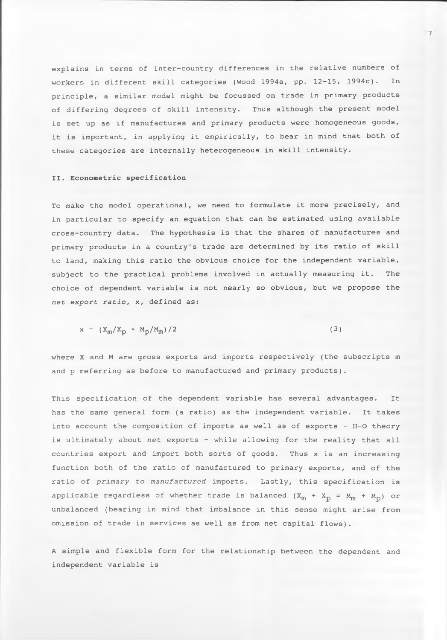explains in terms of inter-country differences in the relative numbers of workers in different skill categories (Wood 1994a, pp. 12-15, 1994c). In principle, a similar model might be focussed on trade in primary products of differing degrees of skill intensity. Thus although the present model is set up as if manufactures and primary products were homogeneous goods, it is important, in applying it empirically, to bear in mind that both of these categories are internally heterogeneous in skill intensity.

# **II. Econometric specification**

To make the model operational, we need to formulate it more precisely, and in particular to specify an equation that can be estimated using available cross-country data. The hypothesis is that the shares of manufactures and primary products in a country's trade are determined by its ratio of skill to land, making this ratio the obvious choice for the independent variable, subject to the practical problems involved in actually measuring it. The choice of dependent variable is not nearly so obvious, but we propose the *net export ratio,* x, defined as:

$$
x = (X_m / X_D + M_D / M_m) / 2
$$
 (3)

where X and M are gross exports and imports respectively (the subscripts m and p referring as before to manufactured and primary products).

This specification of the dependent variable has several advantages. It has the same general form (a ratio) as the independent variable. It takes into account the composition of imports as well as of exports - H-O theory is ultimately about *net* exports - while allowing for the reality that all countries export and import both sorts of goods. Thus x is an increasing function both of the ratio of manufactured to primary exports, and of the ratio of *primary to manufactured* imports. Lastly, this specification is applicable regardless of whether trade is balanced  $(X_m + X_p = M_m + M_p)$  or unbalanced (bearing in mind that imbalance in this sense might arise from omission of trade in services as well as from net capital flows).

A simple and flexible form for the relationship between the dependent and independent variable is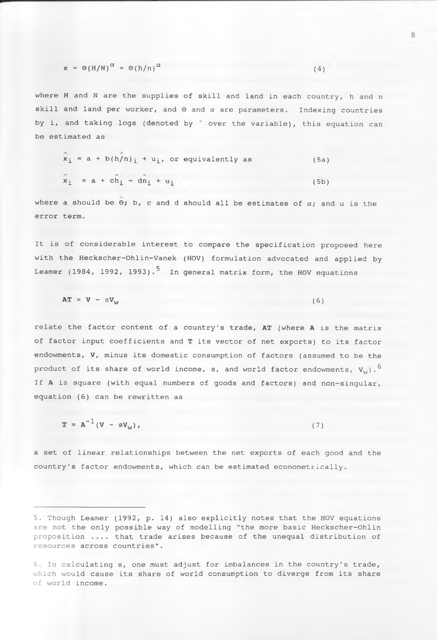$$
x = \Theta(H/N)^{\alpha} = \Theta(h/n)^{\alpha}
$$
 (4)

where H and N are the supplies of skill and land in each country, h and n skill and land per worker, and  $\Theta$  and  $\alpha$  are parameters. Indexing countries by i, and taking logs (denoted by  $\hat{ }$  over the variable), this equation can be estimated as

$$
x_{i} = a + b(h/n)_{i} + u_{i}, \text{ or equivalently as}
$$
\n
$$
x_{i} = a + c\hat{h}_{i} - d\hat{n}_{i} + u_{i}
$$
\n(5b)

where a should be  $\Theta$ ; b, c and d should all be estimates of  $\alpha$ ; and u is the error term.

It is of considerable interest to compare the specification proposed here with the Heckscher-Ohlin-Vanek (HOV) formulation advocated and applied by Leamer (1984, 1992, 1993).<sup>5</sup> In general matrix form, the HOV equations

$$
AT = V - sV_w \tag{6}
$$

relate the factor content of a country's trade, **AT** (where **A** is the matrix of factor input coefficients and **T** its vector of net exports) to its factor endowments, **V,** minus its domestic consumption of factors (assumed to be the product of its share of world income, s, and world factor endowments,  $V_{i,j}$ ,  $\circ$ If **A** is square (with equal numbers of goods and factors) and non-singular, equation (6) can be rewritten as

 $T = A^{-1} (V - sV_w)$ , (7)

a set of linear relationships between the net exports of each good and the country's factor endowments, which can be estimated econometrically.

<sup>5.</sup> Though Leamer (1992, p. 14) also explicitly notes that the HOV equations are not the only possible way of modelling "the more basic Heckscher-Ohlin proposition .... that trade arises because of the unequal distribution of resources across countries" .

<sup>6.</sup> In calculating s, one must adjust for imbalances in the country's trade, which would cause its share of world consumption to diverge from its share of world income.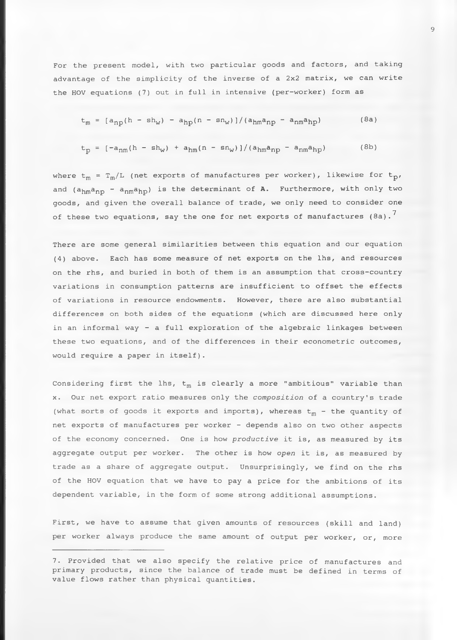For the present model, with two particular goods and factors, and taking advantage of the simplicity of the inverse of a 2x2 matrix, we can write the HOV equations (7) out in full in intensive (per-worker) form as

$$
t_m = [a_{np}(h - sh_w) - a_{hp}(n - sn_w)]/(a_{hm}a_{np} - a_{nm}a_{hp})
$$
 (8a)

$$
t_p = \left[ -a_{nm}(h - sh_w) + a_{hm}(n - sn_w) \right] / (a_{hm}a_{np} - a_{nm}a_{hp}) \tag{8b}
$$

where  $t_m = T_m/L$  (net exports of manufactures per worker), likewise for  $t_p$ , and (a<sub>hm</sub>a<sub>np</sub> - a<sub>nm</sub>a<sub>hp</sub>) is the determinant of A. Furthermore, with only two goods, and given the overall balance of trade, we only need to consider one of these two equations, say the one for net exports of manufactures (8a). $^7\,$ 

There are some general similarities between this equation and our equation (4) above. Each has some measure of net exports on the lhs, and resources on the rhs, and buried in both of them is an assumption that cross-country variations in consumption patterns are insufficient to offset the effects of variations in resource endowments. However, there are also substantial differences on both sides of the equations (which are discussed here only in an informal way - a full exploration of the algebraic linkages between these two equations, and of the differences in their econometric outcomes, would require a paper in itself).

Considering first the lhs,  $t_m$  is clearly a more "ambitious" variable than x. Our net export ratio measures only the *composition* of a country's trade (what sorts of goods it exports and imports), whereas  $t_m$  - the quantity of net exports of manufactures per worker - depends also on two other aspects of the economy concerned. One is how *productive* it is, as measured by its aggregate output per worker. The other is how *open* it is, as measured by trade as a share of aggregate output. Unsurprisingly, we find on the rhs of the HOV equation that we have to pay a price for the ambitions of its dependent variable, in the form of some strong additional assumptions.

First, we have to assume that given amounts of resources (skill and land) per worker always produce the same amount of output per worker, or, more

<sup>7.</sup> Provided that we also specify the relative price of manufactures and primary products, since the balance of trade must be defined in terms of value flows rather than physical quantities.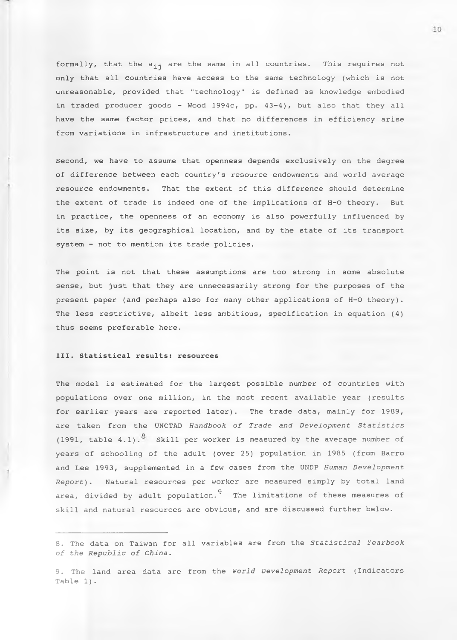formally, that the  $a_{i,j}$  are the same in all countries. This requires not only that all countries have access to the same technology (which is not unreasonable, provided that "technology" is defined as knowledge embodied in traded producer goods - Wood 1994c, pp. 43-4), but also that they all have the same factor prices, and that no differences in efficiency arise from variations in infrastructure and institutions.

Second, we have to assume that openness depends exclusively on the degree of difference between each country's resource endowments and world average resource endowments. That the extent of this difference should determine the extent of trade is indeed one of the implications of H-O theory. But in practice, the openness of an economy is also powerfully influenced by its size, by its geographical location, and by the state of its transport system - not to mention its trade policies.

The point is not that these assumptions are too strong in some absolute sense, but just that they are unnecessarily strong for the purposes of the present paper (and perhaps also for many other applications of H-O theory). The less restrictive, albeit less ambitious, specification in equation (4) thus seems preferable here.

## **III. Statistical results: resources**

The model is estimated for the largest possible number of countries with populations over one million, in the most recent available year (results for earlier years are reported later). The trade data, mainly for 1989, are taken from the UNCTAD *Handbook of Trade and Development Statistics* (1991, table  $4.1)$ . <sup>8</sup> Skill per worker is measured by the average number of years of schooling of the adult (over 25) population in 1985 (from Barro and Lee 1993, supplemented in a few cases from the UNDP *Human Development Report)*. Natural resources per worker are measured simply by total land area, divided by adult population.<sup>9</sup> The limitations of these measures of skill and natural resources are obvious, and are discussed further below.

<sup>8.</sup> The data on Taiwan for all variables are from the *Statistical Yearbook of the Republic of China.*

<sup>9.</sup> The land area data are from the *World Development Report* (Indicators Table 1).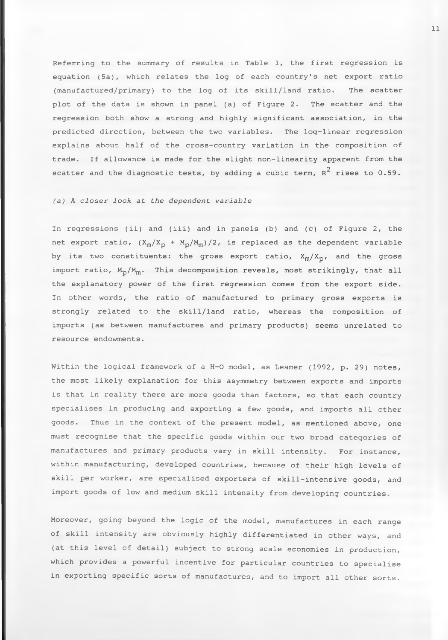Referring to the summary of results in Table *X,* the first regression is equation (5a), which relates the log of each country's net export ratio (manufactured/primary) to the log of its skill/land ratio. The scatter plot of the data is shown in panel (a) of Figure 2. The scatter and the regression both show a strong and highly significant association, in the predicted direction, between the two variables. The log-linear regression explains about half of the cross-country variation in the composition of trade. If allowance is made for the slight non-linearity apparent from the scatter and the diagnostic tests, by adding a cubic term,  $\kappa^2$  rises to 0.59.

# *(a) A closer look at the dependent variable*

In regressions (ii) and (iii) and in panels (b) and (c) of Figure 2, the net export ratio,  $(X_m / X_p + M_p / M_m) / 2$ , is replaced as the dependent variable by its two constituents: the gross export ratio,  $X_m / X_p$ , and the gross import ratio,  $M_{\rm p}/M_{\rm m}$ . This decomposition reveals, most strikingly, that all the explanatory power of the first regression comes from the export side. In other words, the ratio of manufactured to primary gross exports is strongly related to the skill/land ratio, whereas the composition of imports (as between manufactures and primary products) seems unrelated to resource endowments.

Within the logical framework of a H-O model, as Leamer (1992, p. 29) notes, the most likely explanation for this asymmetry between exports and imports is that in reality there are more goods than factors, so that each country specialises in producing and exporting a few goods, and imports all other goods. Thus in the context of the present model, as mentioned above, one must recognise that the specific goods within our two broad categories of manufactures and primary products vary in skill intensity. For instance, within manufacturing, developed countries, because of their high levels of skill per worker, are specialised exporters of skill-intensive goods, and import goods of low and medium skill intensity from developing countries.

Moreover, going beyond the logic of the model, manufactures in each range of skill intensity are obviously highly differentiated in other ways, and (at this level of detail) subject to strong scale economies in production, which provides a powerful incentive for particular countries to specialise in exporting specific sorts of manufactures, and to import all other sorts.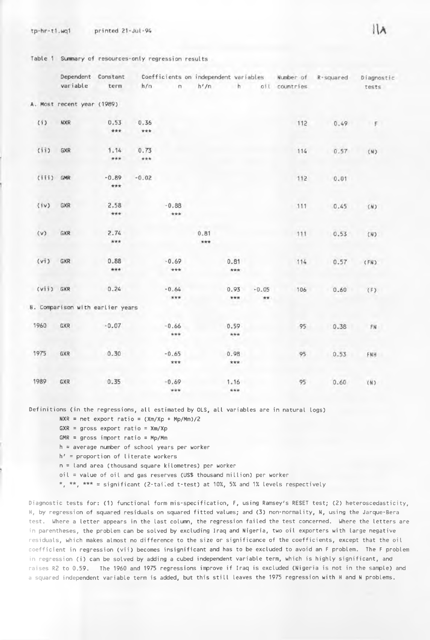$tp-hr-t1.wq1$ printed 21-Jul-94

Table 1 Summary of resources-only regression results

|           | Dependent                       | Constant       |         |                |             |             |                 |               | Coefficients on independent variables Number of R-squared | Diagnostic |
|-----------|---------------------------------|----------------|---------|----------------|-------------|-------------|-----------------|---------------|-----------------------------------------------------------|------------|
|           | variable                        | term           | h/n     | $\sqrt{n}$     | h'/n        | h           |                 | oil countries |                                                           | tests      |
|           | . Most recent year (1989)       |                |         |                |             |             |                 |               |                                                           |            |
| (i)       | <b>NXR</b>                      | 0.53           | 0.36    |                |             |             |                 | 112           | 0.49                                                      | F          |
|           |                                 | ***            | ***     |                |             |             |                 |               |                                                           |            |
| (i)       | GXR                             | 1.14           | 0.73    |                |             |             |                 | 114           | 0.57                                                      | (N)        |
|           |                                 | $* * *$        | ***     |                |             |             |                 |               |                                                           |            |
| (iii)     | GMR                             | $-0.89$<br>*** | $-0.02$ |                |             |             |                 | 112           | 0.01                                                      |            |
| (iv)      | GXR                             | 2.58<br>***    |         | $-0.88$<br>*** |             |             |                 | 111           | 0.45                                                      | (N)        |
| (v)       | GXR                             | 2.74<br>***    |         |                | 0.81<br>*** |             |                 | 111           | 0.53                                                      | (N)        |
|           |                                 |                |         |                |             |             |                 |               |                                                           |            |
| (vi)      | GXR                             | 0.88<br>***    |         | $-0.69$<br>*** |             | 0.81<br>*** |                 | 114           | 0.57                                                      | (FN)       |
| (vii) GXR |                                 | 0.24           |         | $-0.64$<br>*** |             | 0.93<br>*** | $-0.05$<br>$**$ | 106           | 0.60                                                      | (F)        |
|           | . Comparison with earlier years |                |         |                |             |             |                 |               |                                                           |            |
| 1960      | GXR                             | $-0.07$        |         | $-0.66$<br>*** |             | 0.59<br>*** |                 | 95            | 0,38                                                      | FN         |
| 1975      | GXR                             | 0.30           |         | $-0.65$<br>*** |             | 0.98<br>*** |                 | 95            | 0.53                                                      | FNH        |
| 1989      | GXR                             | 0.35           |         | $-0.69$<br>*** |             | 1.16<br>*** |                 | 95            | 0.60                                                      | (N)        |

**Definitions (in the regressions, all estimated by OLS, all variables are in natural logs)**

**NXR = net export ratio = (Xm/Xp + Mp/Mm)/2**

**GXR = gross export ratio = Xm/Xp**

**GMR = gross import ratio = Mp/Mm**

B

**h = average number of school years per worker**

**h' = proportion of literate workers**

**n = land area (thousand square kilometres) per worker**

**oil = value of oil and gas reserves (US\$ thousand million) per worker**

**\*, \*\*, \*\*\* = significant (2-tailed t-test) at 10%, 5% and 1% levels respectively**

**Diagnostic tests for: (1) functional form mis-specification, F, using Ramsey's RESET test; (2) heteroscedasticity, H, by regression of squared residuals on squared fitted values; and (3) non-normality, N, using the Jarque-Bera test. Where a letter appears in the last column, the regression failed the test concerned. Where the letters are in parentheses, the problem can be solved by excluding Iraq and Nigeria, two oil exporters with large negative residuals, which makes almost no difference to the size or significance of the coefficients, except that the oil coefficient in regression (vii) becomes insignificant and has to be excluded to avoid an F problem. The F problem in regression (i) can be solved by adding a cubed independent variable term, which is highly significant, and raises R2 to 0.59. The 1960 and 1975 regressions improve if Iraq is excluded (Nigeria is not in the sample) and** a **squared independent variable term is added, but this still leaves the 1975 regression with H and N problems.**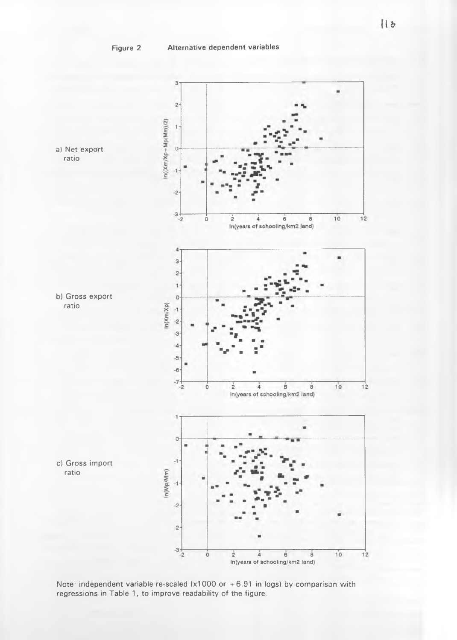

Note: independent variable re-scaled (x1000 or +6.91 in logs) by comparison with **regressions in Table 1, to improve readability of the figure.**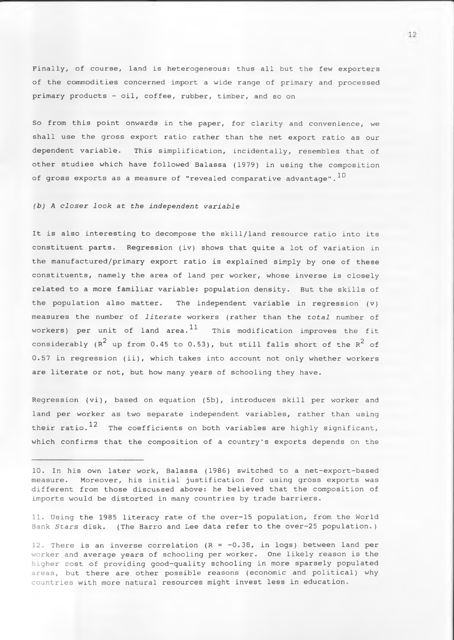Finally, of course, land is heterogeneous: thus all but the few exporters of the commodities concerned import a wide range of primary and processed primary products - oil, coffee, rubber, timber, and so on

So from this point onwards in the paper, for clarity and convenience, we shall use the gross export ratio rather than the net export ratio as our dependent variable. This simplification, incidentally, resembles that of other studies which have followed Balassa (1979) in using the composition of gross exports as a measure of "revealed comparative advantage".<sup>10</sup>

# *(b) A closer look at the Independent variable*

It is also interesting to decompose the skill/land resource ratio into its constituent parts. Regression (iv) shows that quite a lot of variation in the manufactured/primary export ratio is explained simply by one of these constituents, namely the area of land per worker, whose inverse is closely related to a more familiar variable: population density. But the skills of the population also matter. The independent variable in regression (v) measures the number of *literate* workers (rather than the *total* number of workers) per unit of land area. $^{11}$  This modification improves the fit considerably ( $R^2$  up from 0.45 to 0.53), but still falls short of the  $R^2$  of 0.57 in regression (ii), which takes into account not only whether workers are literate or not, but how many years of schooling they have.

Regression (vi), based on equation (5b), introduces skill per worker and land per worker as two separate independent variables, rather than using their ratio.<sup>12</sup> The coefficients on both variables are highly significant, which confirms that the composition of a country's exports depends on the

11. Using the 1985 literacy rate of the over-15 population, from the World Bank *Stars* disk. (The Barro and Lee data refer to the over-25 population.)

12. There is an inverse correlation  $(R = -0.38,$  in logs) between land per worker and average years of schooling per worker. One likely reason is the higher cost of providing good-quality schooling in more sparsely populated areas, but there are other possible reasons (economic and political) why countries with more natural resources might invest less in education.

<sup>10.</sup> In his own later work, Balassa (1986) switched to a net-export-based measure. Moreover, his initial justification for using gross exports was different from those discussed above: he believed that the composition of imports would be distorted in many countries by trade barriers.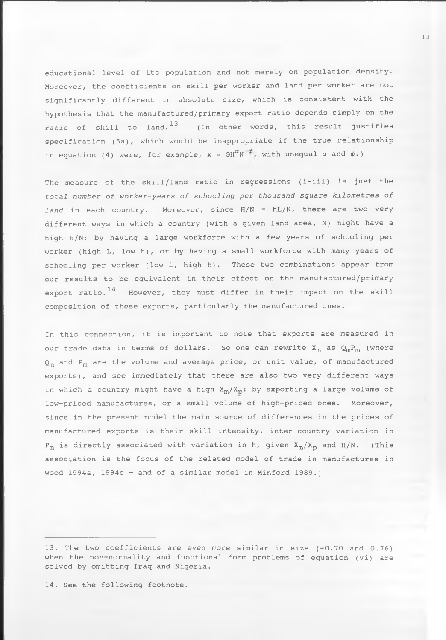educational level of its population and not merely on population density. Moreover, the coefficients on skill per worker and land per worker are not significantly different in absolute size, which is consistent with the hypothesis that the manufactured/primary export ratio depends simply on the *ratio* of skill to land.13 (In other words, this result justifies specification (5a), which would be inappropriate if the true relationship in equation (4) were, for example,  $x = \Theta H^{\alpha} N^{-\phi}$ , with unequal  $\alpha$  and  $\phi$ .)

The measure of the skill/land ratio in regressions (i-iii) is just the *total number of worker-years of schooling per thousand square kilometres of land* in each country. Moreover, since H/N = hL/N, there are two very different ways in which a country (with a given land area, N) might have a high H/N: by having a large workforce with a few years of schooling per worker (high L, low h), or by having a small workforce with many years of schooling per worker (low L, high h). These two combinations appear from our results to be equivalent in their effect on the manufactured/primary export ratio.<sup>14</sup> However, they must differ in their impact on the skill composition of these exports, particularly the manufactured ones.

In this connection, it is important to note that exports are measured in our trade data in terms of dollars. So one can rewrite  $X_m$  as  $Q_m P_m$  (where  $Q_m$  and P<sub>m</sub> are the volume and average price, or unit value, of manufactured exports), and see immediately that there are also two very different ways in which a country might have a high  $X_m / X_p$ : by exporting a large volume of low-priced manufactures, or a small volume of high-priced ones. Moreover, since in the present model the main source of differences in the prices of manufactured exports is their skill intensity, inter-country variation in  $P_m$  is directly associated with variation in h, given  $X_m / X_p$  and H/N. (This association is the focus of the related model of trade in manufactures in Wood 1994a, 1994c - and of a similar model in Minford 1989.)

14. See the following footnote.

<sup>13.</sup> The two coefficients are even more similar in size (-0.70 and 0.76) when the non-normality and functional form problems of equation (vi) are solved by omitting Iraq and Nigeria.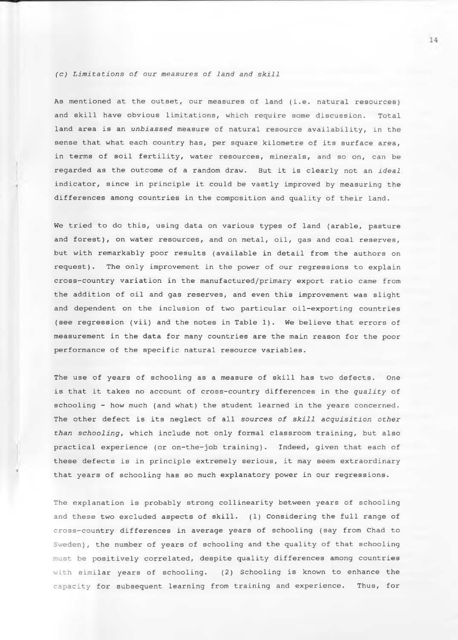### *(c) Limitations of our measures of land and skill*

As mentioned at the outset, our measures of land (i.e. natural resources) and skill have obvious limitations, which require some discussion. Total land area is an *unbiassed* measure of natural resource availability, in the sense that what each country has, per square kilometre of its surface area, in terms of soil fertility, water resources, minerals, and so on, can be regarded as the outcome of a random draw. But it is clearly not an *ideal* indicator, since in principle it could be vastly improved by measuring the differences among countries in the composition and quality of their land.

We tried to do this, using data on various types of land (arable, pasture and forest), on water resources, and on metal, oil, gas and coal reserves, but with remarkably poor results (available in detail from the authors on request). The only improvement in the power of our regressions to explain cross-country variation in the manufactured/primary export ratio came from the addition of oil and gas reserves, and even this improvement was slight and dependent on the inclusion of two particular oil-exporting countries (see regression (vii) and the notes in Table 1). We believe that errors of measurement in the data for many countries are the main reason for the poor performance of the specific natural resource variables.

The use of years of schooling as a measure of skill has two defects. One is that it takes no account of cross-country differences in the *quality* of schooling - how much (and what) the student learned in the years concerned. The other defect is its neglect of all *sources of skill acquisition other than schooling*, which include not only formal classroom training, but also practical experience (or on-the-job training). Indeed, given that each of these defects is in principle extremely serious, it may seem extraordinary that years of schooling has so much explanatory power in our regressions.

The explanation is probably strong collinearity between years of schooling and these two excluded aspects of skill. (1) Considering the full range of cross-country differences in average years of schooling (say from Chad to Sweden), the number of years of schooling and the quality of that schooling must be positively correlated, despite quality differences among countries with similar years of schooling. (2) Schooling is known to enhance the capacity for subsequent learning from training and experience. Thus, for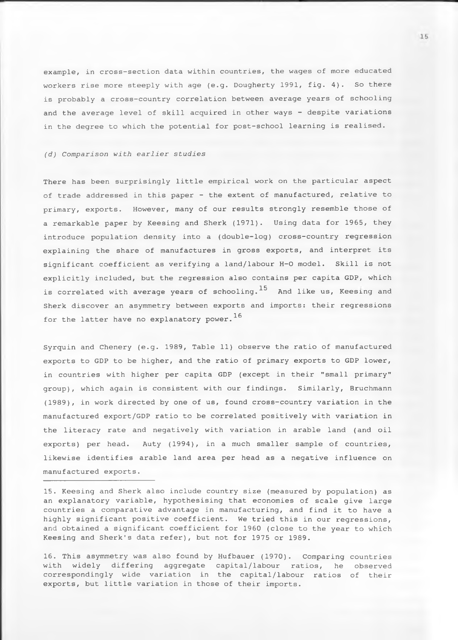example, in cross-section data within countries, the wages of more educated workers rise more steeply with age (e.g. Dougherty 1991, fig. 4). So there is probably a cross-country correlation between average years of schooling and the average level of skill acquired in other ways - despite variations in the degree to which the potential for post-school learning is realised.

# *(d) Comparison with earlier studies*

There has been surprisingly little empirical work on the particular aspect of trade addressed in this paper - the extent of manufactured, relative to primary, exports. However, many of our results strongly resemble those of a remarkable paper by Keesing and Sherk (1971). Using data for 1965, they introduce population density into a (double-log) cross-country regression explaining the share of manufactures in gross exports, and interpret its significant coefficient as verifying a land/labour H-0 model. Skill is not explicitly included, but the regression also contains per capita GDP, which is correlated with average years of schooling.<sup>15</sup> And like us, Keesing and Sherk discover an asymmetry between exports and imports: their regressions for the latter have no explanatory power.<sup>16</sup>

Syrquin and Chenery (e.g. 1989, Table 11) observe the ratio of manufactured exports to GDP to be higher, and the ratio of primary exports to GDP lower, in countries with higher per capita GDP (except in their "small primary" group), which again is consistent with our findings. Similarly, Bruchmann (1989), in work directed by one of us, found cross-country variation in the manufactured export/GDP ratio to be correlated positively with variation in the literacy rate and negatively with variation in arable land (and oil exports) per head. Auty (1994), in a much smaller sample of countries, likewise identifies arable land area per head as a negative influence on manufactured exports.

16. This asymmetry was also found by Hufbauer (1970). Comparing countries with widely differing aggregate capital/labour ratios, he observed correspondingly wide variation in the capital/labour ratios of their exports, but little variation in those of their imports.

<sup>15.</sup> Keesing and Sherk also include country size (measured by population) as an explanatory variable, hypothesising that economies of scale give large countries a comparative advantage in manufacturing, and find it to have a highly significant positive coefficient. We tried this in our regressions, and obtained a significant coefficient for 1960 (close to the year to which Keesing and Sherk's data refer), but not for 1975 or 1989.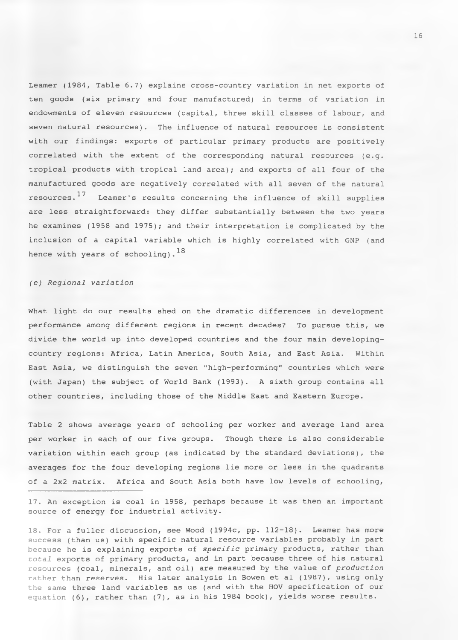Leamer (1984, Table 6.7) explains cross-country variation in net exports of ten goods (six primary and four manufactured) in terms of variation in endowments of eleven resources (capital, three skill classes of labour, and seven natural resources). The influence of natural resources is consistent with our findings: exports of particular primary products are positively correlated with the extent of the corresponding natural resources (e.g. tropical products with tropical land area); and exports of all four of the manufactured goods are negatively correlated with all seven of the natural resources.  $^{17}$  Leamer's results concerning the influence of skill supplies are less straightforward: they differ substantially between the two years he examines (1958 and 1975); and their interpretation is complicated by the inclusion of a capital variable which is highly correlated with GNP (and hence with years of schooling). 18

# *(e) Regional variation*

What light do our results shed on the dramatic differences in development performance among different regions in recent decades? To pursue this, we divide the world up into developed countries and the four main developingcountry regions: Africa, Latin America, South Asia, and East Asia. Within East Asia, we distinguish the seven "high-performing" countries which were (with Japan) the subject of World Bank (1993). A sixth group contains all other countries, including those of the Middle East and Eastern Europe.

Table 2 shows average years of schooling per worker and average land area per worker in each of our five groups. Though there is also considerable variation within each group (as indicated by the standard deviations), the averages for the four developing regions lie more or less in the quadrants of a 2x2 matrix. Africa and South Asia both have low levels of schooling,

17. An exception is coal in 1958, perhaps because it was then an important source of energy for industrial activity.

18. For a fuller discussion, see Wood (1994c, pp. 112-18). Leamer has more success (than us) with specific natural resource variables probably in part because he is explaining exports of *specific* primary products, rather than *total* exports of primary products, and in part because three of his natural resources (coal, minerals, and oil) are measured by the value of *production* rather than *reserves.* His later analysis in Bowen et al (1987), using only the same three land variables as us (and with the HOV specification of our equation (6), rather than (7), as in his 1984 book), yields worse results.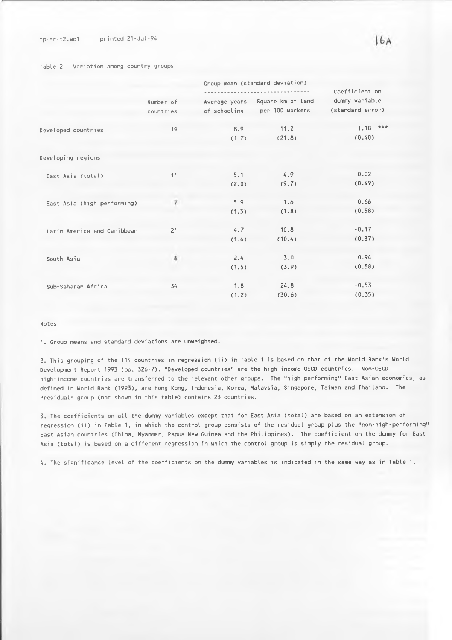## **tp-hr-t2.wq1 printed 21-Jul-94**

#### **Table 2 Variation among country groups**

|                             | Group mean (standard deviation) |       |                                 |                  |  |  |  |
|-----------------------------|---------------------------------|-------|---------------------------------|------------------|--|--|--|
|                             |                                 |       | Coefficient on                  |                  |  |  |  |
|                             | Number of                       |       | Average years Square km of land | dummy variable   |  |  |  |
|                             | countries                       |       | of schooling per 100 workers    | (standard error) |  |  |  |
| Developed countries         | 19                              | 8.9   | 11.2                            | $1.18$ ***       |  |  |  |
|                             |                                 | (1.7) | (21.8)                          | (0.40)           |  |  |  |
| Developing regions          |                                 |       |                                 |                  |  |  |  |
| East Asia (total)           | 11                              | 5.1   | 4.9                             | 0.02             |  |  |  |
|                             |                                 | (2.0) | (9.7)                           | (0.49)           |  |  |  |
| East Asia (high performing) | $\overline{7}$                  | 5.9   | 1.6                             | 0.66             |  |  |  |
|                             |                                 | (1.5) | (1.8)                           | (0.58)           |  |  |  |
| Latin America and Caribbean | 21                              | 4.7   | 10.8                            | $-0.17$          |  |  |  |
|                             |                                 | (1.4) | (10.4)                          | (0.37)           |  |  |  |
| South Asia                  | 6                               | 2.4   | 3.0                             | 0.94             |  |  |  |
|                             |                                 | (1.5) | (3.9)                           | (0.58)           |  |  |  |
| Sub-Saharan Africa          | 34                              | 1.8   | 24.8                            | $-0.53$          |  |  |  |
|                             |                                 | (1.2) | (30.6)                          | (0.35)           |  |  |  |

## **Notes**

**1. Group means and standard deviations are unweighted.**

**2. This grouping of the 114 countries in regression (ii) in Table 1 is based on that of the World Bank's World Development Report 1993 (pp. 326-7). "Developed countries" are the high-income OECD countries. Non-OECD high-income countries are transferred to the relevant other groups. The "high-performing" East Asian economies, as defined in World Bank (1993), are Hong Kong, Indonesia, Korea, Malaysia, Singapore, Taiwan and Thailand. The "residual" group (not shown in this table) contains 23 countries.**

**3. The coefficients on all the dummy variables except that for East Asia (total) are based on an extension of regression (ii) in Table 1, in which the control group consists of the residual group plus the "non-high-performing" East Asian countries (China, Myanmar, Papua New Guinea and the Philippines). The coefficient on the dummy for East Asia (total) is based on a different regression in which the control group is simply the residual group.**

**4. The significance level of the coefficients on the dummy variables is indicated in the same way as in Table 1.**

 $16A$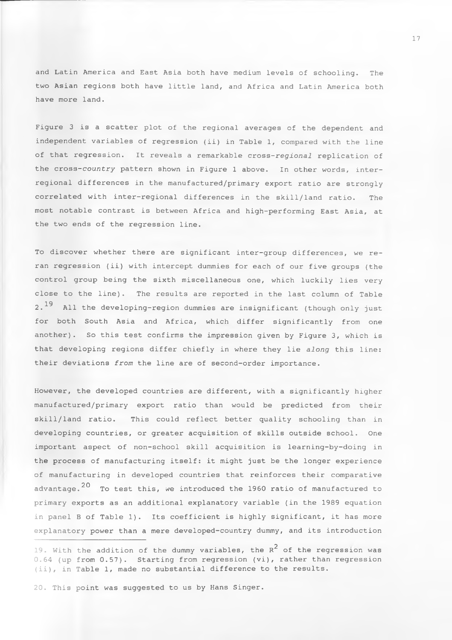and Latin America and East Asia both have medium levels of schooling. The two Asian regions both have little land, and Africa and Latin America both have more land.

Figure 3 is a scatter plot of the regional averages of the dependent and independent variables of regression (ii) in Table 1, compared with the line of that regression. It reveals a remarkable cross*-regional* replication of the cross*-country* pattern shown in Figure 1 above. In other words, interregional differences in the manufactured/primary export ratio are strongly correlated with inter-regional differences in the skill/land ratio. The most notable contrast is between Africa and high-performing East Asia, at the two ends of the regression line.

To discover whether there are significant inter-group differences, we reran regression (ii) with intercept dummies for each of our five groups (the control group being the sixth miscellaneous one, which luckily lies very close to the line). The results are reported in the last column of Table 2.<sup>19</sup> All the developing-region dummies are insignificant (though only just for both South Asia and Africa, which differ significantly from one another). So this test confirms the impression given by Figure 3, which is that developing regions differ chiefly in where they lie *along* this line: their deviations *from* the line are of second-order importance.

However, the developed countries are different, with a significantly higher manufactured/primary export ratio than would be predicted from their skill/land ratio. This could reflect better quality schooling than in developing countries, or greater acquisition of skills outside school. One important aspect of non-school skill acquisition is learning-by-doing in the process of manufacturing itself: it might just be the longer experience of manufacturing in developed countries that reinforces their comparative advantage.  $20$  To test this, we introduced the 1960 ratio of manufactured to primary exports as an additional explanatory variable (in the 1989 equation in panel B of Table 1). Its coefficient is highly significant, it has more explanatory power than a mere developed-country dummy, and its introduction

19. With the addition of the dummy variables, the  $R^2$  of the regression was 0.64 (up from 0.57). Starting from regression (vi), rather than regression (ii), in Table 1, made no substantial difference to the results.

20. This point was suggested to us by Hans Singer.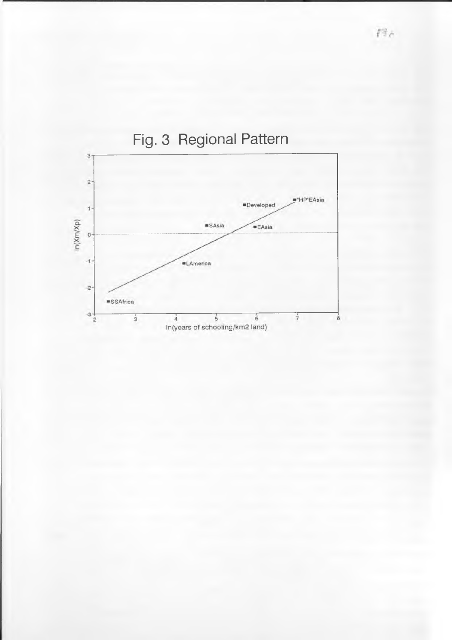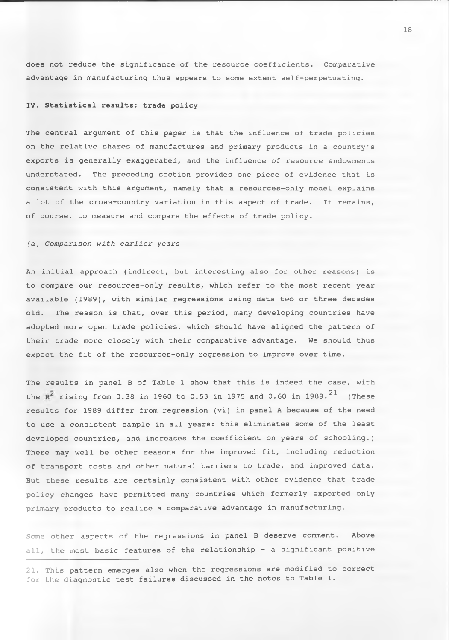does not reduce the significance of the resource coefficients. Comparative advantage in manufacturing thus appears to some extent self-perpetuating.

# **IV. Statistical results: trade policy**

The central argument of this paper is that the influence of trade policies on the relative shares of manufactures and primary products in a country's exports is generally exaggerated, and the influence of resource endowments understated. The preceding section provides one piece of evidence that is consistent with this argument, namely that a resources-only model explains a lot of the cross-country variation in this aspect of trade. It remains, of course, to measure and compare the effects of trade policy.

# *(a) Comparison with earlier years*

An initial approach (indirect, but interesting also for other reasons) is to compare our resources-only results, which refer to the most recent year available (1989), with similar regressions using data two or three decades old. The reason is that, over this period, many developing countries have adopted more open trade policies, which should have aligned the pattern of their trade more closely with their comparative advantage. We should thus expect the fit of the resources-only regression to improve over time.

The results in panel B of Table 1 show that this is indeed the case, with the R<sup>2</sup> rising from 0.38 in 1960 to 0.53 in 1975 and 0.60 in 1989.<sup>21</sup> (These results for 1989 differ from regression (vi) in panel A because of the need to use a consistent sample in all years: this eliminates some of the least developed countries, and increases the coefficient on years of schooling.) There may well be other reasons for the improved fit, including reduction of transport costs and other natural barriers to trade, and improved data. But these results are certainly consistent with other evidence that trade policy changes have permitted many countries which formerly exported only primary products to realise a comparative advantage in manufacturing.

Some other aspects of the regressions in panel B deserve comment. Above all, the most basic features of the relationship - a significant positive

21. This pattern emerges also when the regressions are modified to correct for the diagnostic test failures discussed in the notes to Table 1.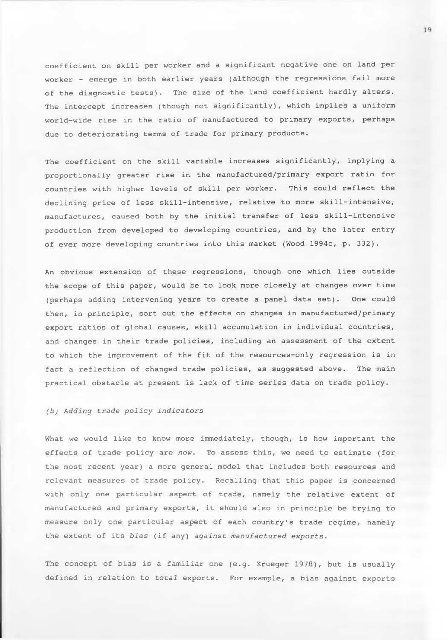coefficient on skill per worker and a significant negative one on land per worker - emerge in both earlier years (although the regressions fail more of the diagnostic tests). The size of the land coefficient hardly alters. The intercept increases (though not significantly), which implies a uniform world-wide rise in the ratio of manufactured to primary exports, perhaps due to deteriorating terms of trade for primary products.

The coefficient on the skill variable increases significantly, implying a proportionally greater rise in the manufactured/primary export ratio for countries with higher levels of skill per worker. This could reflect the declining price of less skill-intensive, relative to more skill-intensive, manufactures, caused both by the initial transfer of less skill-intensive production from developed to developing countries, and by the later entry of ever more developing countries into this market (Wood 1994c, p. 332).

An obvious extension of these regressions, though one which lies outside the scope of this paper, would be to look more closely at changes over time (perhaps adding intervening years to create a panel data set). One could then, in principle, sort out the effects on changes in manufactured/primary export ratios of global causes, skill accumulation in individual countries, and changes in their trade policies, including an assessment of the extent to which the improvement of the fit of the resources-only regression is in fact a reflection of changed trade policies, as suggested above. The main practical obstacle at present is lack of time series data on trade policy.

# *(b) Adding trade policy indicators*

What we would like to know more immediately, though, is how important the effects of trade policy are *now.* To assess this, we need to estimate (for the most recent year) a more general model that includes both resources and relevant measures of trade policy. Recalling that this paper is concerned with only one particular aspect of trade, namely the relative extent of manufactured and primary exports, it should also in principle be trying to measure only one particular aspect of each country's trade regime, namely the extent of its *bias* (if any) *against manufactured exports.*

The concept of bias is a familiar one (e.g. Krueger 1978), but is usually defined in relation to *total* exports. For example, a bias against exports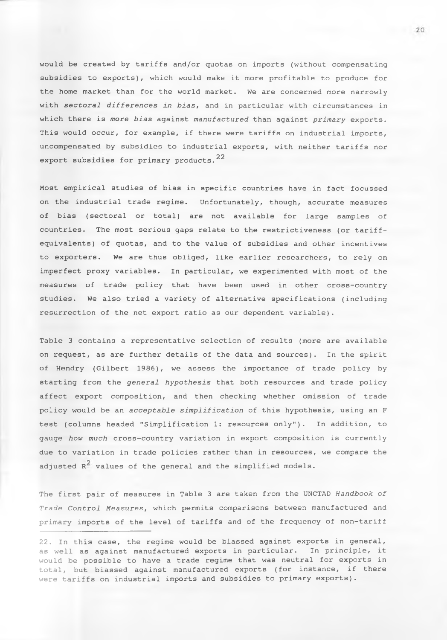would be created by tariffs and/or quotas on imports (without compensating subsidies to exports), which would make it more profitable to produce for the home market than for the world market. We are concerned more narrowly with *sectoral differences In bias,* and in particular with circumstances in which there is *more bias* against *manufactured* than against *primary* exports. This would occur, for example, if there were tariffs on industrial imports, uncompensated by subsidies to industrial exports, with neither tariffs nor export subsidies for primary products.<sup>22</sup>

Most empirical studies of bias in specific countries have in fact focussed on the industrial trade regime. Unfortunately, though, accurate measures of bias (sectoral or total) are not available for large samples of countries. The most serious gaps relate to the restrictiveness (or tariffequivalents) of quotas, and to the value of subsidies and other incentives to exporters. We are thus obliged, like earlier researchers, to rely on imperfect proxy variables. In particular, we experimented with most of the measures of trade policy that have been used in other cross-country studies. We also tried a variety of alternative specifications (including resurrection of the net export ratio as our dependent variable).

Table 3 contains a representative selection of results (more are available on request, as are further details of the data and sources). In the spirit of Hendry (Gilbert 1986), we assess the importance of trade policy by starting from the *general hypothesis* that both resources and trade policy affect export composition, and then checking whether omission of trade policy would be an *acceptable simplification* of this hypothesis, using an F test (columns headed "Simplification 1: resources only"). In addition, to gauge *how much* cross-country variation in export composition is currently due to variation in trade policies rather than in resources, we compare the adjusted  $R^2$  values of the general and the simplified models.

The first pair of measures in Table 3 are taken from the UNCTAD *Handbook of Trade Control Measures*, which permits comparisons between manufactured and primary imports of the level of tariffs and of the frequency of non-tariff

<sup>22.</sup> In this case, the regime would be biassed against exports in general, as well as against manufactured exports in particular. In principle, it would be possible to have a trade regime that was neutral for exports in total, but biassed against manufactured exports (for instance, if there were tariffs on industrial imports and subsidies to primary exports).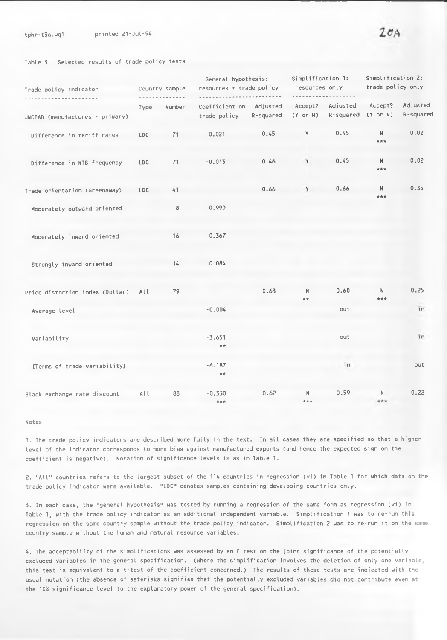#### **Table 3 Selected results of trade policy tests**

| Trade policy indicator          | Country sample |        | General hypothesis:<br>resources + trade policy |           | Simplification 1:<br>resources only |                       | Simplification 2:<br>trade policy only |                       |
|---------------------------------|----------------|--------|-------------------------------------------------|-----------|-------------------------------------|-----------------------|----------------------------------------|-----------------------|
| UNCTAD (manufactures - primary) | Type           | Number | Coefficient on Adjusted<br>trade policy         | R-squared | Accept?<br>$(Y \text{ or } N)$      | Adjusted<br>R-squared | Accept?<br>$(Y$ or $N)$                | Adjusted<br>R-squared |
| Difference in tariff rates      | <b>LDC</b>     | 71     | 0.021                                           | 0.45      | Y                                   | 0.45                  | N.<br>***                              | 0.02                  |
| Difference in NTB frequency     | <b>LDC</b>     | 71     | $-0.013$                                        | 0.46      | Y                                   | 0.45                  | N<br>***                               | 0.02                  |
| Trade orientation (Greenaway)   | <b>LDC</b>     | 41     |                                                 | 0.66      | Y                                   | 0.66                  | N<br>***                               | 0.35                  |
| Moderately outward oriented     |                | 8      | 0.990                                           |           |                                     |                       |                                        |                       |
| Moderately inward oriented      |                | 16     | 0.367                                           |           |                                     |                       |                                        |                       |
| Strongly inward oriented        |                | 14     | 0.084                                           |           |                                     |                       |                                        |                       |
| Price distortion index (Dollar) | All            | 79     |                                                 | 0.63      | N<br>**                             | 0.60                  | N<br>***                               | 0.25                  |
| Average level                   |                |        | $-0.004$                                        |           |                                     | out                   |                                        | in                    |
| Variability                     |                |        | $-3.651$<br>$+ +$                               |           |                                     | out                   |                                        | in                    |
| [Terms of trade variability]    |                |        | $-6.187$<br>**                                  |           |                                     | in                    |                                        | out                   |
| Black exchange rate discount    | All            | 88     | $-0.330$<br>***                                 | 0.62      | N<br>***                            | 0.59                  | N<br>***                               | 0.22                  |

#### **Notes**

**1. The trade policy indicators are described more fully in the text. In all cases they are specified so that a higher level of the indicator corresponds to more bias against manufactured exports (and hence the expected sign on the coefficient is negative). Notation of significance levels is as in Table 1.**

**2. "All" countries refers to the largest subset of the 114 countries in regression (vi) in Table 1 for which data on the trade policy indicator were available. "LDC" denotes samples containing developing countries only.**

**3. In each case, the "general hypothesis" was tested by running a regression of the same form as regression (vi) in Table 1, with the trade policy indicator as an additional independent variable. Simplification 1 was to re-run this regression on the same country sample without the trade policy indicator. Simplification 2 was to re-run it on the same country sample without the human and natural resource variables.**

**4. The acceptability of the simplifications was assessed by an F-test on the joint significance of the potentially excluded variables in the general specification. (Where the simplification involves the deletion of only one variable, this test is equivalent to a t-test of the coefficient concerned.) The results of these tests are indicated with the usual notation (the absence of asterisks signifies that the potentially excluded variables did not contribute even at the 10% significance level to the explanatory power of the general specification).**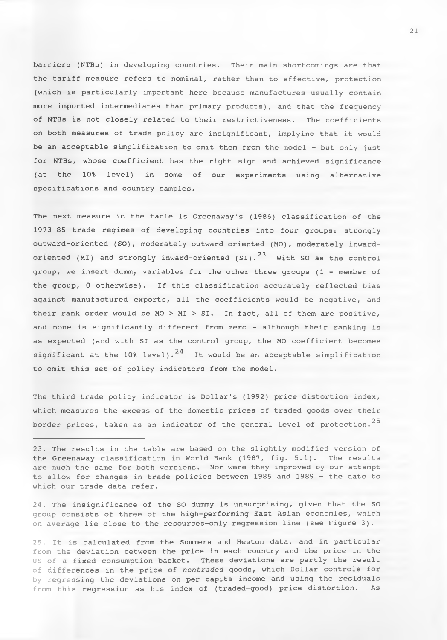barriers (NTBs) in developing countries. Their main shortcomings are that the tariff measure refers to nominal, rather than to effective, protection (which is particularly important here because manufactures usually contain more imported intermediates than primary products), and that the frequency of NTBs is not closely related to their restrictiveness. The coefficients on both measures of trade policy are insignificant, implying that it would be an acceptable simplification to omit them from the model - but only just for NTBs, whose coefficient has the right sign and achieved significance (at the 10% level) in some of our experiments using alternative specifications and country samples.

The next measure in the table is Greenaway's (1986) classification of the 1973-85 trade regimes of developing countries into four groups: strongly outward-oriented (SO), moderately outward-oriented (MO), moderately inwardoriented (MI) and strongly inward-oriented (SI).  $23$  With SO as the control group, we insert dummy variables for the other three groups (1 = member of the group, 0 otherwise). If this classification accurately reflected bias against manufactured exports, all the coefficients would be negative, and their rank order would be  $MO > MI > SI$ . In fact, all of them are positive, and none is significantly different from zero - although their ranking is as expected (and with SI as the control group, the MO coefficient becomes significant at the 10% level).<sup>24</sup> It would be an acceptable simplification to omit this set of policy indicators from the model.

The third trade policy indicator is Dollar's (1992) price distortion index, which measures the excess of the domestic prices of traded goods over their border prices, taken as an indicator of the general level of protection.<sup>25</sup>

23. The results in the table are based on the slightly modified version of the Greenaway classification in World Bank (1987, fig. 5.1). The results are much the same for both versions. Nor were they improved by our attempt to allow for changes in trade policies between 1985 and 1989 - the date to which our trade data refer.

24. The insignificance of the SO dummy is unsurprising, given that the SO group consists of three of the high-performing East Asian economies, which on average lie close to the resources-only regression line (see Figure 3).

25. It is calculated from the Summers and Heston data, and in particular from the deviation between the price in each country and the price in the US of a fixed consumption basket. These deviations are partly the result of differences in the price of *nontraded* goods, which Dollar controls for by regressing the deviations on per capita income and using the residuals from this regression as his index of (traded-good) price distortion. As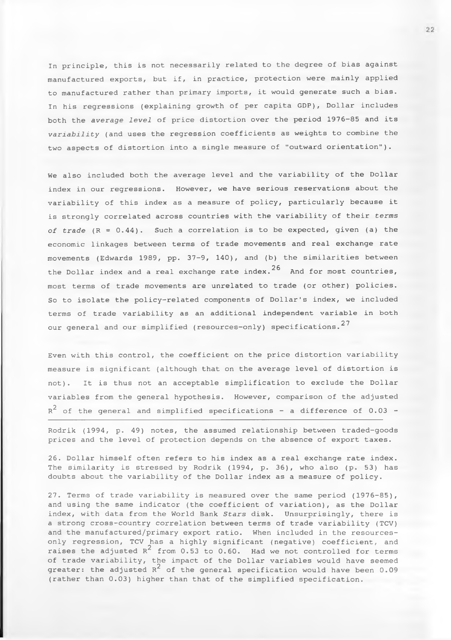In principle, this is not necessarily related to the degree of bias against manufactured exports, but if, in practice, protection were mainly applied to manufactured rather than primary imports, it would generate such a bias. In his regressions (explaining growth of per capita GDP), Dollar includes both the *average level* of price distortion over the period 1976-85 and its *variability* (and uses the regression coefficients as weights to combine the two aspects of distortion into a single measure of "outward orientation").

We also included both the average level and the variability of the Dollar index in our regressions. However, we have serious reservations about the variability of this index as a measure of policy, particularly because it is strongly correlated across countries with the variability of their *terms of trade* (R = 0.44). Such a correlation is to be expected, given (a) the economic linkages between terms of trade movements and real exchange rate movements (Edwards 1989, pp. 37-9, 140), and (b) the similarities between the Dollar index and a real exchange rate index.  $2^6$  And for most countries, most terms of trade movements are unrelated to trade (or other) policies. So to isolate the policy-related components of Dollar's index, we included terms of trade variability as an additional independent variable in both our general and our simplified (resources-only) specifications. $27$ 

Even with this control, the coefficient on the price distortion variability measure is significant (although that on the average level of distortion is not). It is thus not an acceptable simplification to exclude the Dollar variables from the general hypothesis. However, comparison of the adjusted  $\rm\,R}^2$  of the general and simplified specifications - a difference of 0.03 -

Rodrik (1994, p. 49) notes, the assumed relationship between traded-goods prices and the level of protection depends on the absence of export taxes.

26. Dollar himself often refers to his index as a real exchange rate index. The similarity is stressed by Rodrik (1994, p. 36), who also (p. 53) has doubts about the variability of the Dollar index as a measure of policy.

27. Terms of trade variability is measured over the same period (1976-85), and using the same indicator (the coefficient of variation), as the Dollar index, with data from the World Bank *Stars* disk. Unsurprisingly, there is a strong cross-country correlation between terms of trade variability (TCV) and the manufactured/primary export ratio. When included in the resourcesonly regression, TCV has a highly significant (negative) coefficient, and raises the adjusted  $R^2$  from 0.53 to 0.60. Had we not controlled for terms of trade variability, the impact of the Dollar variables would have seemed greater: the adjusted  $R^2$  of the general specification would have been 0.09 (rather than 0.03) higher than that of the simplified specification.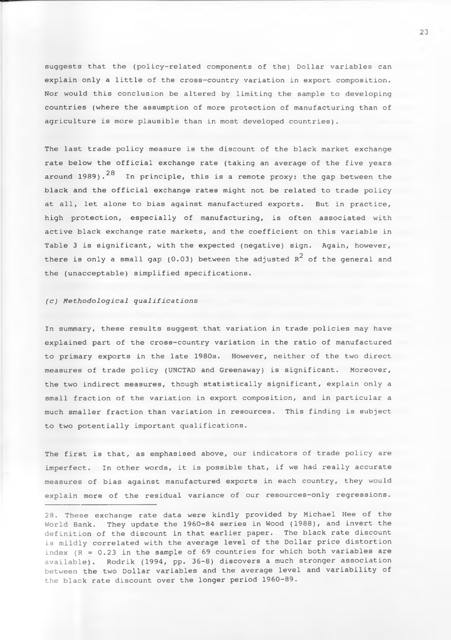suggests that the (policy-related components of the) Dollar variables can explain only a little of the cross-country variation in export composition. Nor would this conclusion be altered by limiting the sample to developing countries (where the assumption of more protection of manufacturing than of agriculture is more plausible than in most developed countries).

The last trade policy measure is the discount of the black market exchange rate below the official exchange rate (taking an average of the five years around 1989). $^{28}$  In principle, this is a remote proxy: the gap between the black and the official exchange rates might not be related to trade policy at all, let alone to bias against manufactured exports. But in practice, high protection, especially of manufacturing, is often associated with active black exchange rate markets, and the coefficient on this variable in Table 3 is significant, with the expected (negative) sign. Again, however, there is only a small gap (0.03) between the adjusted  $\kappa^2$  of the general and the (unacceptable) simplified specifications.

# *(c) Methodological qualifications*

In summary, these results suggest that variation in trade policies may have explained part of the cross-country variation in the ratio of manufactured to primary exports in the late 1980s. However, neither of the two direct measures of trade policy (UNCTAD and Greenaway) is significant. Moreover, the two indirect measures, though statistically significant, explain only a small fraction of the variation in export composition, and in particular a much smaller fraction than variation in resources. This finding is subject to two potentially important qualifications.

The first is that, as emphasised above, our indicators of trade policy are imperfect. In other words, it is possible that, if we had really accurate measures of bias against manufactured exports in each country, they would explain more of the residual variance of our resources-only regressions.

28. These exchange rate data were kindly provided by Michael Hee of the World Bank. They update the 1960-84 series in Wood (1988), and invert the definition of the discount in that earlier paper. The black rate discount is mildly correlated with the average level of the Dollar price distortion index  $(R = 0.23$  in the sample of 69 countries for which both variables are available). Rodrik (1994, pp. 36-8) discovers a much stronger association between the two Dollar variables and the average level and variability of the black rate discount over the longer period 1960-89.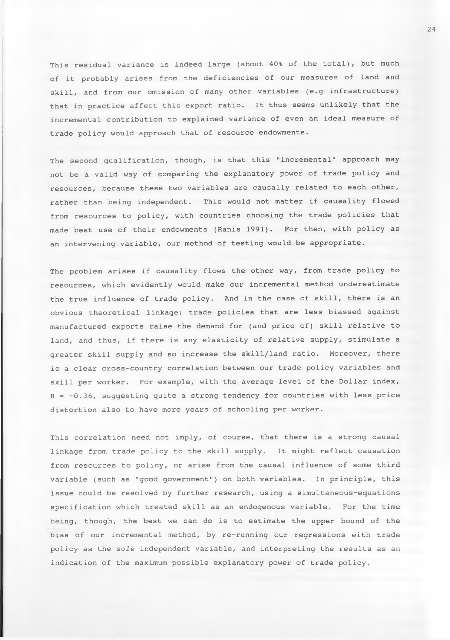This residual variance is indeed large (about 40% of the total), but much of it probably arises from the deficiencies of our measures of land and skill, and from our omission of many other variables (e.g infrastructure) that in practice affect this export ratio. It thus seems unlikely that the incremental contribution to explained variance of even an ideal measure of trade policy would approach that of resource endowments.

The second qualification, though, is that this "incremental" approach may not be a valid way of comparing the explanatory power of trade policy and resources, because these two variables are causally related to each other, rather than being independent. This would not matter if causality flowed from resources to policy, with countries choosing the trade policies that made best use of their endowments (Ranis 1991). For then, with policy as an intervening variable, our method of testing would be appropriate.

The problem arises if causality flows the other way, from trade policy to resources, which evidently would make our incremental method underestimate the true influence of trade policy. And in the case of skill, there is an obvious theoretical linkage: trade policies that are less biassed against manufactured exports raise the demand for (and price of) skill relative to land, and thus, if there is any elasticity of relative supply, stimulate a greater skill supply and so increase the skill/land ratio. Moreover, there is a clear cross-country correlation between our trade policy variables and skill per worker. For example, with the average level of the Dollar index,  $R = -0.36$ , suggesting quite a strong tendency for countries with less price distortion also to have more years of schooling per worker.

This correlation need not imply, of course, that there is a strong causal linkage from trade policy to the skill supply. It might reflect causation from resources to policy, or arise from the causal influence of some third variable (such as "good government") on both variables. In principle, this issue could be resolved by further research, using a simultaneous-equations specification which treated skill as an endogenous variable. For the time being, though, the best we can do is to estimate the upper bound of the bias of our incremental method, by re-running our regressions with trade policy as the *sole* independent variable, and interpreting the results as an indication of the maximum possible explanatory power of trade policy.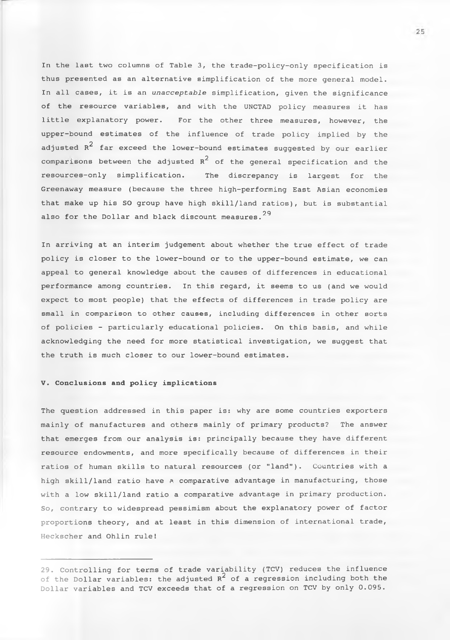In the last two columns of Table 3, the trade-policy-only specification is thus presented as an alternative simplification of the more general model. In all cases, it is an *unacceptable* simplification, given the significance of the resource variables, and with the UNCTAD policy measures it has little explanatory power. For the other three measures, however, the upper-bound estimates of the influence of trade policy implied by the adjusted  $\mathop{\mathrm{R}}\nolimits^2$  far exceed the lower-bound estimates suggested by our earlier comparisons between the adjusted  $R^2$  of the general specification and the resources-only simplification. The discrepancy is largest for the Greenaway measure (because the three high-performing East Asian economies that make up his SO group have high skill/land ratios), but is substantial also for the Dollar and black discount measures.  $^{29}$ 

In arriving at an interim judgement about whether the true effect of trade policy is closer to the lower-bound or to the upper-bound estimate, we can appeal to general knowledge about the causes of differences in educational performance among countries. In this regard, it seems to us (and we would expect to most people) that the effects of differences in trade policy are small in comparison to other causes, including differences in other sorts of policies - particularly educational policies. On this basis, and while acknowledging the need for more statistical investigation, we suggest that the truth is much closer to our lower-bound estimates.

# **V. Conclusions and policy implications**

The question addressed in this paper is: why are some countries exporters mainly of manufactures and others mainly of primary products? The answer that emerges from our analysis is: principally because they have different resource endowments, and more specifically because of differences in their ratios of human skills to natural resources (or "land"). Countries with a high skill/land ratio have a comparative advantage in manufacturing, those with a low skill/land ratio a comparative advantage in primary production. So, contrary to widespread pessimism about the explanatory power of factor proportions theory, and at least in this dimension of international trade, Heckscher and Ohlin rule!

25

<sup>29.</sup> Controlling for terms of trade variability (TCV) reduces the influence of the Dollar variables: the adjusted  $R^2$  of a regression including both the Dollar variables and TCV exceeds that of a regression on TCV by only 0.095.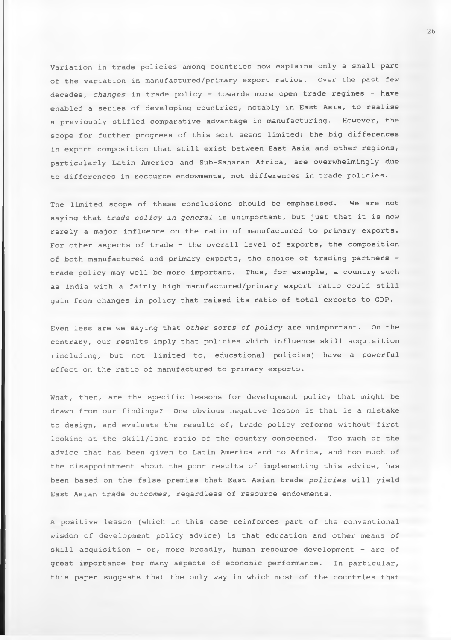Variation in trade policies among countries now explains only a small part of the variation in manufactured/primary export ratios. Over the past few decades, *changes* in trade policy - towards more open trade regimes - have enabled a series of developing countries, notably in East Asia, to realise a previously stifled comparative advantage in manufacturing. However, the scope for further progress of this sort seems limited: the big differences in export composition that still exist between East Asia and other regions, particularly Latin America and Sub-Saharan Africa, are overwhelmingly due to differences in resource endowments, not differences in trade policies.

The limited scope of these conclusions should be emphasised. We are not saying that *trade policy in general* is unimportant, but just that it is now rarely a major influence on the ratio of manufactured to primary exports. For other aspects of trade - the overall level of exports, the composition of both manufactured and primary exports, the choice of trading partners trade policy may well be more important. Thus, for example, a country such as India with a fairly high manufactured/primary export ratio could still gain from changes in policy that raised its ratio of total exports to GDP.

Even less are we saying that *other sorts of policy* are unimportant. On the contrary, our results imply that policies which influence skill acquisition (including, but not limited to, educational policies) have a powerful effect on the ratio of manufactured to primary exports.

What, then, are the specific lessons for development policy that might be drawn from our findings? One obvious negative lesson is that is a mistake to design, and evaluate the results of, trade policy reforms without first looking at the skill/land ratio of the country concerned. Too much of the advice that has been given to Latin America and to Africa, and too much of the disappointment about the poor results of implementing this advice, has been based on the false premiss that East Asian trade *policies* will yield East Asian trade *outcomes,* regardless of resource endowments.

A positive lesson (which in this case reinforces part of the conventional wisdom of development policy advice) is that education and other means of skill acquisition - or, more broadly, human resource development - are of great importance for many aspects of economic performance. In particular, this paper suggests that the only way in which most of the countries that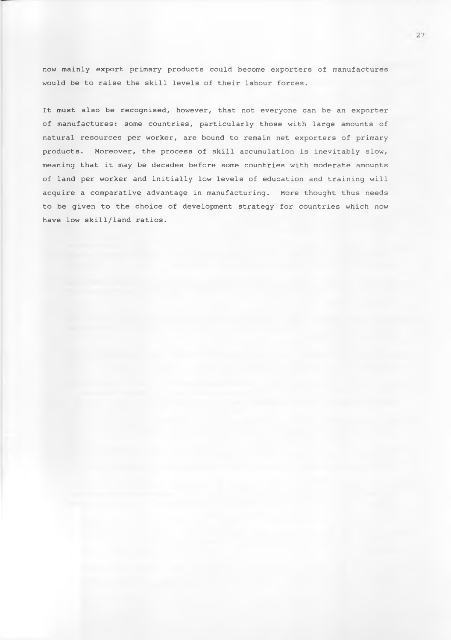now mainly export primary products could become exporters of manufactures would be to raise the skill levels of their labour forces.

It must also be recognised, however, that not everyone can be an exporter of manufactures: some countries, particularly those with large amounts of natural resources per worker, are bound to remain net exporters of primary products. Moreover, the process of skill accumulation is inevitably slow, meaning that it may be decades before some countries with moderate amounts of land per worker and initially low levels of education and training will acquire a comparative advantage in manufacturing. More thought thus needs to be given to the choice of development strategy for countries which now have low skill/land ratios.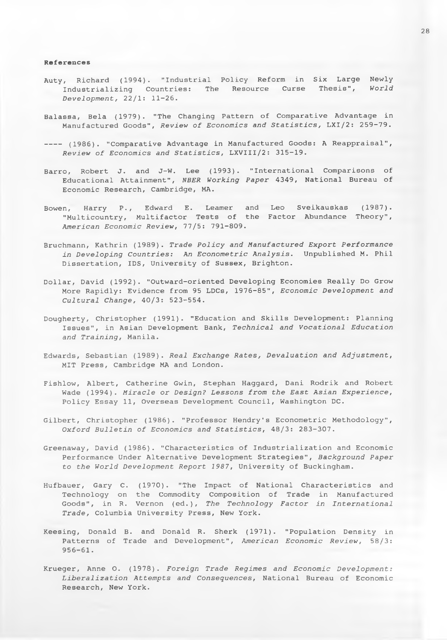#### **References**

- Auty, Richard (1994). "Industrial Policy Reform in Six Large Newly Industrializing Countries: The Resource Curse Thesis", *World Development,* 22/1: 11-26.
- Balassa, Bela (1979). "The Changing Pattern of Comparative Advantage in Manufactured Goods", *Review of Economics and Statistics,* LXI/2: 259-79.
- ---- (1986). "Comparative Advantage in Manufactured Goods: A Reappraisal", *Review of Economics and Statistics,* LXVIII/2: 315-19.
- Barro, Robert J. and J-W. Lee (1993). "International Comparisons of Educational Attainment", *NBER Working Paper* 4349, National Bureau of Economic Research, Cambridge, MA.
- Bowen, Harry P., Edward E. Leamer and Leo Sveikauskas (1987). "Multicountry, Multifactor Tests of the Factor Abundance Theory", *American Economic Review,* 77/5: 791-809.
- Bruchmann, Kathrin (1989). *Trade Policy and Manufactured Export Performance in Developing Countries: An Econometric Analysis*. Unpublished M. Phil Dissertation, IDS, University of Sussex, Brighton.
- Dollar, David (1992). "Outward-oriented Developing Economies Really Do Grow More Rapidly: Evidence from 95 LDCs, 1976-85", *Economic Development and Cultural Change,* 40/3: 523-554.
- Dougherty, Christopher (1991). "Education and Skills Development: Planning Issues", in Asian Development Bank, *Technical and Vocational Education and Training,* Manila.
- Edwards, Sebastian (1989). *Real Exchange Rates, Devaluation and Adjustment,* MIT Press, Cambridge MA and London.
- Fishlow, Albert, Catherine Gwin, Stephan Haggard, Dani Rodrik and Robert Wade (1994). *Miracle or Design? Lessons from the East Asian Experience,* Policy Essay 11, Overseas Development Council, Washington DC.
- Gilbert, Christopher (1986). "Professor Hendry's Econometric Methodology", *Oxford Bulletin of Economics and Statistics,* 48/3: 283-307.
- Greenaway, David (1986). "Characteristics of Industrialization and Economic Performance Under Alternative Development Strategies", *Background Paper to the World Development Report 1987,* University of Buckingham.
- Hufbauer, Gary C. (1970). "The Impact of National Characteristics and Technology on the Commodity Composition of Trade in Manufactured Goods", in R. Vernon (ed.). *The Technology Factor in International Trade,* Columbia University Press, New York.
- Keesing, Donald B. and Donald R. Sherk (1971). "Population Density in Patterns of Trade and Development", *American Economic Review,* 58/3: 956-61.
- Krueger, Anne 0. (1978). *Foreign Trade Regimes and Economic Development; Liberalization Attempts and Consequences*, National Bureau of Economic Research, New York.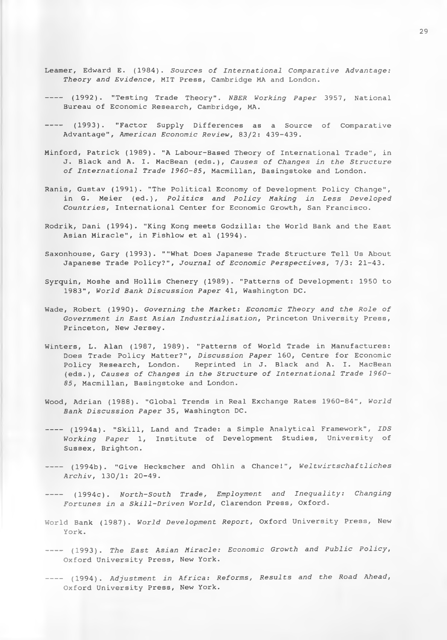- Leamer, Edward E. (1984). Sources of International Comparative Advantage: *Theory and Evidence,* MIT Press, Cambridge MA and London.
- (1992). "Testing Trade Theory". *NBER Working Paper 3951,* National Bureau of Economic Research, Cambridge, MA.
- ---- (1993). "Factor Supply Differences as a Source of Comparative Advantage", *American Economic Review,* 83/2: 439-439.
- Minford, Patrick (1989). "A Labour-Based Theory of International Trade", in J. Black and A. I. MacBean (eds.), *Causes of Changes in the Structure of International Trade 1960-85,* Macmillan, Basingstoke and London.
- Ranis, Gustav (1991). "The Political Economy of Development Policy Change", in G. Meier (ed.), *Politics and Policy Making in Less Developed Countries,* International Center for Economic Growth, San Francisco.
- Rodrik, Dani (1994). "King Kong meets Godzilla: the World Bank and the East Asian Miracle", in Fishlow et al (1994).
- Saxonhouse, Gary (1993). ""What Does Japanese Trade Structure Tell Us About Japanese Trade Policy?", *Journal of Economic Perspectives,* 7/3: 21-43.
- Syrquin, Moshe and Hollis Chenery (1989). "Patterns of Development: 1950 to 1983", *World Bank Discussion Paper* 41, Washington DC.
- Wade, Robert (1990). *Governing the Market: Economic Theory and the Role of Government in East Asian Industrialisation,* Princeton University Press, Princeton, New Jersey.
- Winters, L. Alan (1987, 1989). "Patterns of World Trade in Manufactures: Does Trade Policy Matter?", *Discussion Paper* 160, Centre for Economic Policy Research, London. Reprinted in J. Black and A. I. MacBean (eds.), *Causes of Changes in the Structure of International Trade 1960- 85,* Macmillan, Basingstoke and London.
- Wood, Adrian (1988). "Global Trends in Real Exchange Rates 1960-84", *World Bank Discussion Paper* 35, Washington DC.
- (1994a). "Skill, Land and Trade: a Simple Analytical Framework", *IDS Working Paper* 1, Institute of Development Studies, University of Sussex, Brighton.
- (1994b). "Give Heckscher and Ohlin a Chance!", *Weltwirtschaftliches Archiv,* 130/1: 20-49.
- (1994c). *North-South Trade, Employment and Inequality: Changing Fortunes in a Skill-Driven World,* Clarendon Press, Oxford.
- World Bank (1987). *World Development Report,* Oxford University Press, New York.
- (1993). *The East Asian Miracle: Economic Growth and Public Policy,* Oxford University Press, New York.
- (1994). *Adjustment in Africa: Reforms, Results and the Road Ahead,* Oxford University Press, New York.